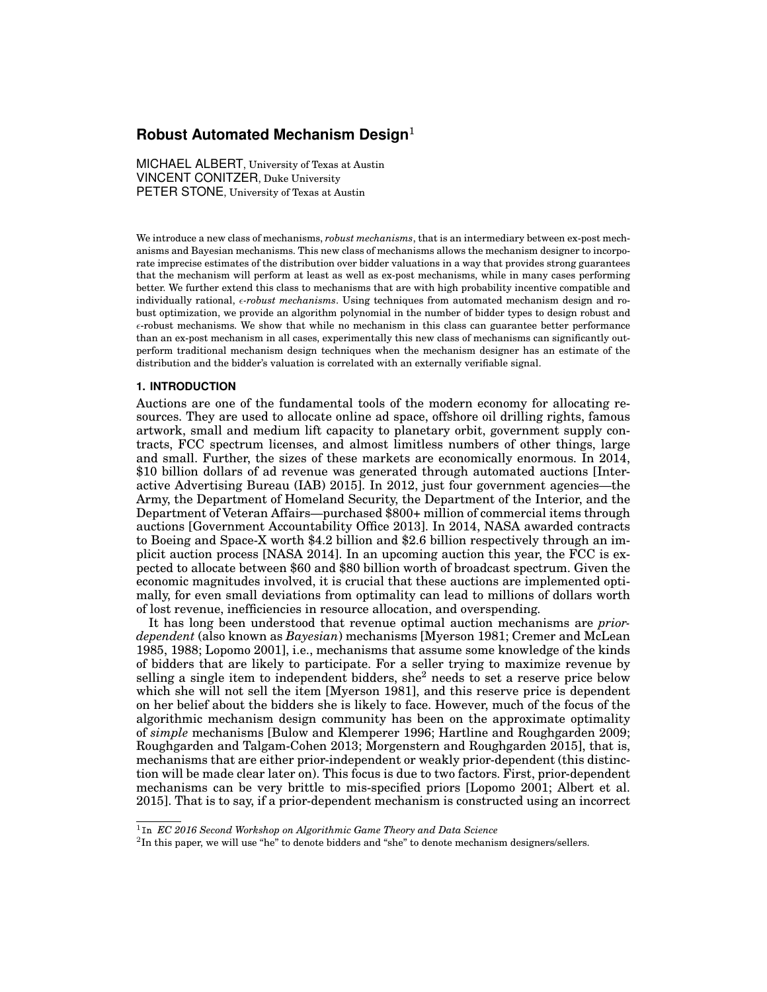# **Robust Automated Mechanism Design**<sup>1</sup>

MICHAEL ALBERT, University of Texas at Austin VINCENT CONITZER, Duke University PETER STONE, University of Texas at Austin

We introduce a new class of mechanisms, *robust mechanisms*, that is an intermediary between ex-post mechanisms and Bayesian mechanisms. This new class of mechanisms allows the mechanism designer to incorporate imprecise estimates of the distribution over bidder valuations in a way that provides strong guarantees that the mechanism will perform at least as well as ex-post mechanisms, while in many cases performing better. We further extend this class to mechanisms that are with high probability incentive compatible and individually rational, *e-robust mechanisms*. Using techniques from automated mechanism design and robust optimization, we provide an algorithm polynomial in the number of bidder types to design robust and  $\epsilon$ -robust mechanisms. We show that while no mechanism in this class can guarantee better performance than an ex-post mechanism in all cases, experimentally this new class of mechanisms can significantly outperform traditional mechanism design techniques when the mechanism designer has an estimate of the distribution and the bidder's valuation is correlated with an externally verifiable signal.

#### **1. INTRODUCTION**

Auctions are one of the fundamental tools of the modern economy for allocating resources. They are used to allocate online ad space, offshore oil drilling rights, famous artwork, small and medium lift capacity to planetary orbit, government supply contracts, FCC spectrum licenses, and almost limitless numbers of other things, large and small. Further, the sizes of these markets are economically enormous. In 2014, \$10 billion dollars of ad revenue was generated through automated auctions [Interactive Advertising Bureau (IAB) 2015]. In 2012, just four government agencies—the Army, the Department of Homeland Security, the Department of the Interior, and the Department of Veteran Affairs—purchased \$800+ million of commercial items through auctions [Government Accountability Office 2013]. In 2014, NASA awarded contracts to Boeing and Space-X worth \$4.2 billion and \$2.6 billion respectively through an implicit auction process [NASA 2014]. In an upcoming auction this year, the FCC is expected to allocate between \$60 and \$80 billion worth of broadcast spectrum. Given the economic magnitudes involved, it is crucial that these auctions are implemented optimally, for even small deviations from optimality can lead to millions of dollars worth of lost revenue, inefficiencies in resource allocation, and overspending.

It has long been understood that revenue optimal auction mechanisms are *priordependent* (also known as *Bayesian*) mechanisms [Myerson 1981; Cremer and McLean 1985, 1988; Lopomo 2001], i.e., mechanisms that assume some knowledge of the kinds of bidders that are likely to participate. For a seller trying to maximize revenue by selling a single item to independent bidders, she<sup>2</sup> needs to set a reserve price below which she will not sell the item [Myerson 1981], and this reserve price is dependent on her belief about the bidders she is likely to face. However, much of the focus of the algorithmic mechanism design community has been on the approximate optimality of *simple* mechanisms [Bulow and Klemperer 1996; Hartline and Roughgarden 2009; Roughgarden and Talgam-Cohen 2013; Morgenstern and Roughgarden 2015], that is, mechanisms that are either prior-independent or weakly prior-dependent (this distinction will be made clear later on). This focus is due to two factors. First, prior-dependent mechanisms can be very brittle to mis-specified priors [Lopomo 2001; Albert et al. 2015]. That is to say, if a prior-dependent mechanism is constructed using an incorrect

<sup>1</sup>In *EC 2016 Second Workshop on Algorithmic Game Theory and Data Science*

 ${}^{2}$ In this paper, we will use "he" to denote bidders and "she" to denote mechanism designers/sellers.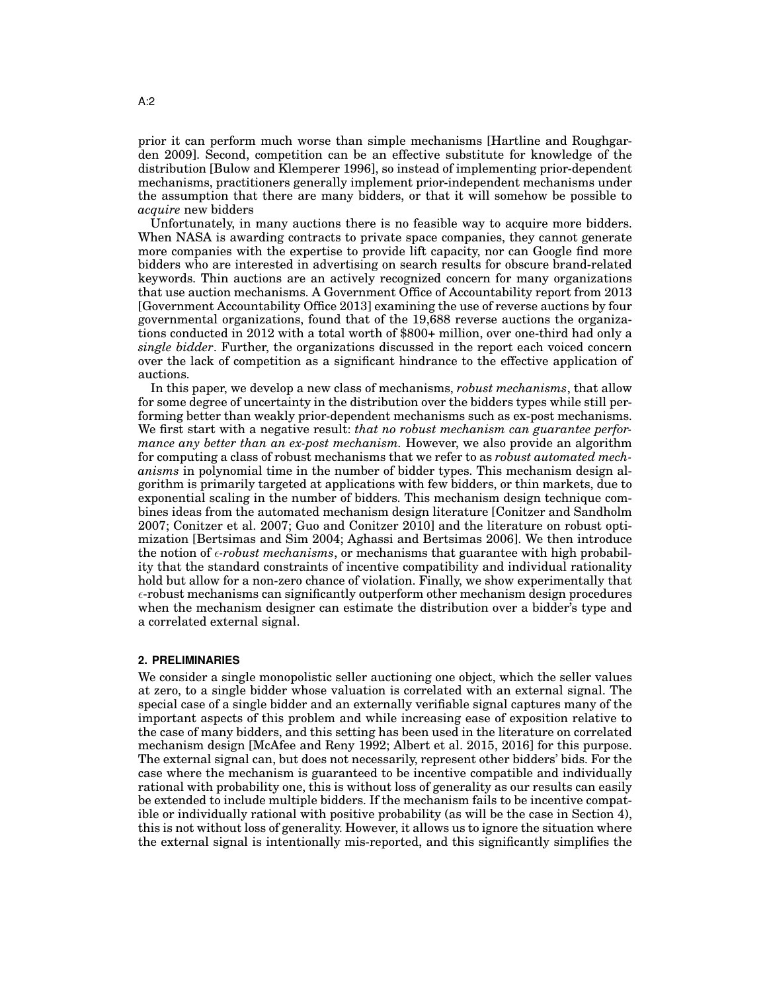prior it can perform much worse than simple mechanisms [Hartline and Roughgarden 2009]. Second, competition can be an effective substitute for knowledge of the distribution [Bulow and Klemperer 1996], so instead of implementing prior-dependent mechanisms, practitioners generally implement prior-independent mechanisms under the assumption that there are many bidders, or that it will somehow be possible to *acquire* new bidders

Unfortunately, in many auctions there is no feasible way to acquire more bidders. When NASA is awarding contracts to private space companies, they cannot generate more companies with the expertise to provide lift capacity, nor can Google find more bidders who are interested in advertising on search results for obscure brand-related keywords. Thin auctions are an actively recognized concern for many organizations that use auction mechanisms. A Government Office of Accountability report from 2013 [Government Accountability Office 2013] examining the use of reverse auctions by four governmental organizations, found that of the 19,688 reverse auctions the organizations conducted in 2012 with a total worth of \$800+ million, over one-third had only a *single bidder*. Further, the organizations discussed in the report each voiced concern over the lack of competition as a significant hindrance to the effective application of auctions.

In this paper, we develop a new class of mechanisms, *robust mechanisms*, that allow for some degree of uncertainty in the distribution over the bidders types while still performing better than weakly prior-dependent mechanisms such as ex-post mechanisms. We first start with a negative result: *that no robust mechanism can guarantee performance any better than an ex-post mechanism.* However, we also provide an algorithm for computing a class of robust mechanisms that we refer to as *robust automated mechanisms* in polynomial time in the number of bidder types. This mechanism design algorithm is primarily targeted at applications with few bidders, or thin markets, due to exponential scaling in the number of bidders. This mechanism design technique combines ideas from the automated mechanism design literature [Conitzer and Sandholm 2007; Conitzer et al. 2007; Guo and Conitzer 2010] and the literature on robust optimization [Bertsimas and Sim 2004; Aghassi and Bertsimas 2006]. We then introduce the notion of  $\epsilon$ -robust mechanisms, or mechanisms that guarantee with high probability that the standard constraints of incentive compatibility and individual rationality hold but allow for a non-zero chance of violation. Finally, we show experimentally that  $\epsilon$ -robust mechanisms can significantly outperform other mechanism design procedures when the mechanism designer can estimate the distribution over a bidder's type and a correlated external signal.

## **2. PRELIMINARIES**

We consider a single monopolistic seller auctioning one object, which the seller values at zero, to a single bidder whose valuation is correlated with an external signal. The special case of a single bidder and an externally verifiable signal captures many of the important aspects of this problem and while increasing ease of exposition relative to the case of many bidders, and this setting has been used in the literature on correlated mechanism design [McAfee and Reny 1992; Albert et al. 2015, 2016] for this purpose. The external signal can, but does not necessarily, represent other bidders' bids. For the case where the mechanism is guaranteed to be incentive compatible and individually rational with probability one, this is without loss of generality as our results can easily be extended to include multiple bidders. If the mechanism fails to be incentive compatible or individually rational with positive probability (as will be the case in Section 4), this is not without loss of generality. However, it allows us to ignore the situation where the external signal is intentionally mis-reported, and this significantly simplifies the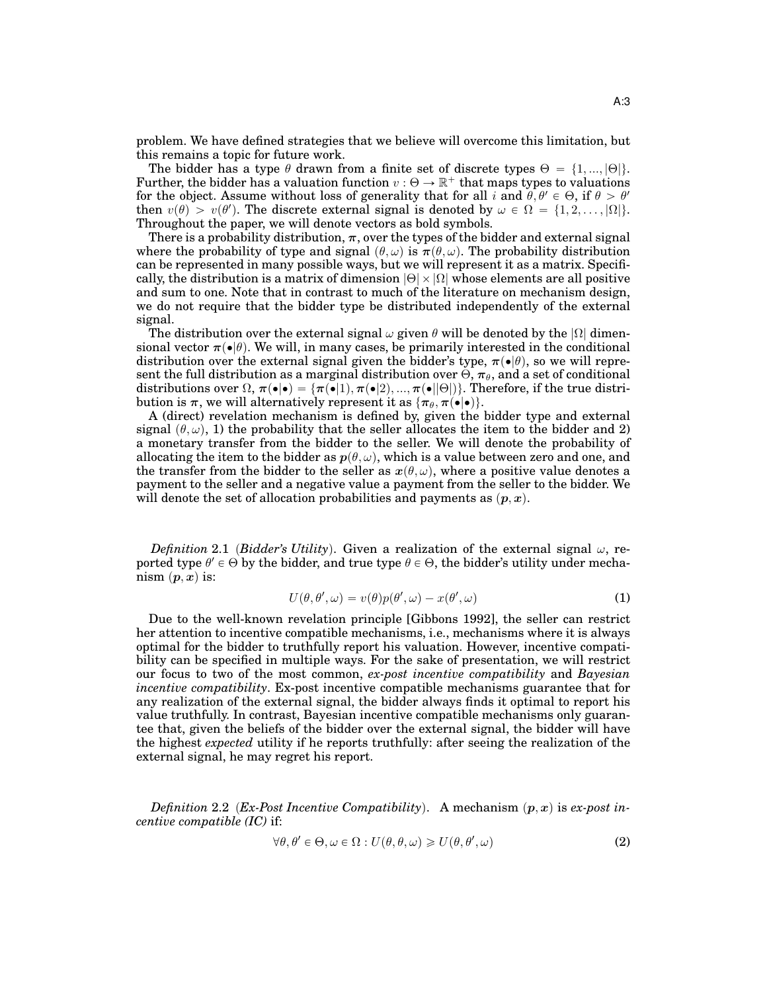problem. We have defined strategies that we believe will overcome this limitation, but this remains a topic for future work.

The bidder has a type  $\theta$  drawn from a finite set of discrete types  $\Theta = \{1, ..., |\Theta|\}$ . Further, the bidder has a valuation function  $v : \Theta \to \mathbb{R}^+$  that maps types to valuations for the object. Assume without loss of generality that for all i and  $\theta, \theta' \in \Theta$ , if  $\theta > \theta'$ then  $v(\theta) > v(\theta')$ . The discrete external signal is denoted by  $\omega \in \Omega = \{1, 2, \ldots, |\Omega|\}.$ Throughout the paper, we will denote vectors as bold symbols.

There is a probability distribution,  $\pi$ , over the types of the bidder and external signal where the probability of type and signal  $(\theta, \omega)$  is  $\pi(\theta, \omega)$ . The probability distribution can be represented in many possible ways, but we will represent it as a matrix. Specifically, the distribution is a matrix of dimension  $|\Theta| \times |\Omega|$  whose elements are all positive and sum to one. Note that in contrast to much of the literature on mechanism design, we do not require that the bidder type be distributed independently of the external signal.

The distribution over the external signal  $\omega$  given  $\theta$  will be denoted by the  $|\Omega|$  dimensional vector  $\pi(\bullet|\theta)$ . We will, in many cases, be primarily interested in the conditional distribution over the external signal given the bidder's type,  $\pi(\bullet|\theta)$ , so we will represent the full distribution as a marginal distribution over  $\Theta$ ,  $\pi_{\theta}$ , and a set of conditional distributions over  $\Omega$ ,  $\pi(\bullet|\bullet) = {\pi(\bullet|1), \pi(\bullet|2), ..., \pi(\bullet||\Theta)})$ . Therefore, if the true distribution is  $\pi$ , we will alternatively represent it as  $\{\pi_{\theta}, \pi(\bullet|\bullet)\}.$ 

A (direct) revelation mechanism is defined by, given the bidder type and external signal  $(\theta, \omega)$ , 1) the probability that the seller allocates the item to the bidder and 2) a monetary transfer from the bidder to the seller. We will denote the probability of allocating the item to the bidder as  $p(\theta, \omega)$ , which is a value between zero and one, and the transfer from the bidder to the seller as  $x(\theta, \omega)$ , where a positive value denotes a payment to the seller and a negative value a payment from the seller to the bidder. We will denote the set of allocation probabilities and payments as  $(p, x)$ .

*Definition* 2.1 *(Bidder's Utility)*. Given a realization of the external signal  $\omega$ , reported type  $\theta' \in \Theta$  by the bidder, and true type  $\theta \in \Theta$ , the bidder's utility under mechanism  $(p, x)$  is:

$$
U(\theta, \theta', \omega) = v(\theta)p(\theta', \omega) - x(\theta', \omega)
$$
\n(1)

Due to the well-known revelation principle [Gibbons 1992], the seller can restrict her attention to incentive compatible mechanisms, i.e., mechanisms where it is always optimal for the bidder to truthfully report his valuation. However, incentive compatibility can be specified in multiple ways. For the sake of presentation, we will restrict our focus to two of the most common, *ex-post incentive compatibility* and *Bayesian incentive compatibility*. Ex-post incentive compatible mechanisms guarantee that for any realization of the external signal, the bidder always finds it optimal to report his value truthfully. In contrast, Bayesian incentive compatible mechanisms only guarantee that, given the beliefs of the bidder over the external signal, the bidder will have the highest *expected* utility if he reports truthfully: after seeing the realization of the external signal, he may regret his report.

*Definition* 2.2 (*Ex-Post Incentive Compatibility*). A mechanism  $(p, x)$  is *ex-post incentive compatible (IC)* if:

$$
\forall \theta, \theta' \in \Theta, \omega \in \Omega: U(\theta, \theta, \omega) \geqslant U(\theta, \theta', \omega)
$$
\n<sup>(2)</sup>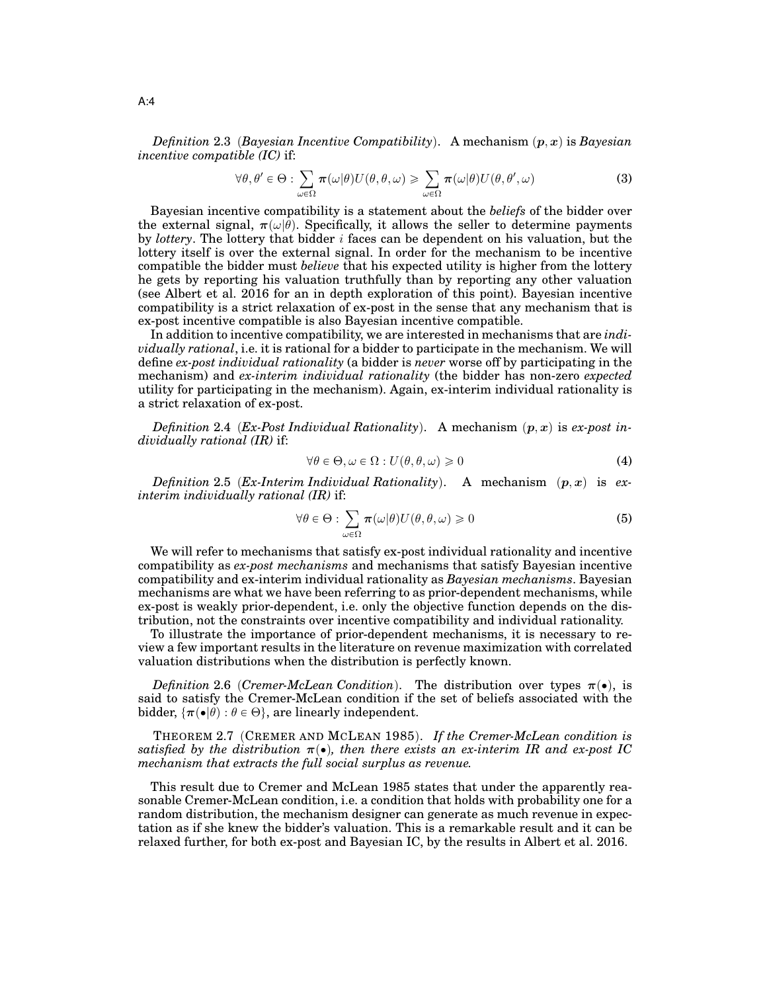*Definition* 2.3 *(Bayesian Incentive Compatibility).* A mechanism  $(p, x)$  is *Bayesian incentive compatible (IC)* if:

$$
\forall \theta, \theta' \in \Theta : \sum_{\omega \in \Omega} \pi(\omega|\theta) U(\theta, \theta, \omega) \geq \sum_{\omega \in \Omega} \pi(\omega|\theta) U(\theta, \theta', \omega)
$$
(3)

Bayesian incentive compatibility is a statement about the *beliefs* of the bidder over the external signal,  $\pi(\omega|\theta)$ . Specifically, it allows the seller to determine payments by *lottery*. The lottery that bidder i faces can be dependent on his valuation, but the lottery itself is over the external signal. In order for the mechanism to be incentive compatible the bidder must *believe* that his expected utility is higher from the lottery he gets by reporting his valuation truthfully than by reporting any other valuation (see Albert et al. 2016 for an in depth exploration of this point). Bayesian incentive compatibility is a strict relaxation of ex-post in the sense that any mechanism that is ex-post incentive compatible is also Bayesian incentive compatible.

In addition to incentive compatibility, we are interested in mechanisms that are *individually rational*, i.e. it is rational for a bidder to participate in the mechanism. We will define *ex-post individual rationality* (a bidder is *never* worse off by participating in the mechanism) and *ex-interim individual rationality* (the bidder has non-zero *expected* utility for participating in the mechanism). Again, ex-interim individual rationality is a strict relaxation of ex-post.

*Definition* 2.4 (*Ex-Post Individual Rationality*). A mechanism  $(p, x)$  is *ex-post individually rational (IR)* if:

$$
\forall \theta \in \Theta, \omega \in \Omega : U(\theta, \theta, \omega) \geq 0 \tag{4}
$$

*Definition* 2.5 (*Ex-Interim Individual Rationality*). A mechanism  $(p, x)$  is *exinterim individually rational (IR)* if:

$$
\forall \theta \in \Theta : \sum_{\omega \in \Omega} \pi(\omega|\theta) U(\theta, \theta, \omega) \ge 0 \tag{5}
$$

We will refer to mechanisms that satisfy ex-post individual rationality and incentive compatibility as *ex-post mechanisms* and mechanisms that satisfy Bayesian incentive compatibility and ex-interim individual rationality as *Bayesian mechanisms*. Bayesian mechanisms are what we have been referring to as prior-dependent mechanisms, while ex-post is weakly prior-dependent, i.e. only the objective function depends on the distribution, not the constraints over incentive compatibility and individual rationality.

To illustrate the importance of prior-dependent mechanisms, it is necessary to review a few important results in the literature on revenue maximization with correlated valuation distributions when the distribution is perfectly known.

*Definition* 2.6 (*Cremer-McLean Condition*). The distribution over types  $\pi(\bullet)$ , is said to satisfy the Cremer-McLean condition if the set of beliefs associated with the bidder,  $\{\pi(\bullet|\theta): \theta \in \Theta\}$ , are linearly independent.

THEOREM 2.7 (CREMER AND MCLEAN 1985). If the Cremer-McLean condition is *satisfied by the distribution*  $\pi(\bullet)$ , then there exists an ex-interim IR and ex-post IC *mechanism that extracts the full social surplus as revenue.*

This result due to Cremer and McLean 1985 states that under the apparently reasonable Cremer-McLean condition, i.e. a condition that holds with probability one for a random distribution, the mechanism designer can generate as much revenue in expectation as if she knew the bidder's valuation. This is a remarkable result and it can be relaxed further, for both ex-post and Bayesian IC, by the results in Albert et al. 2016.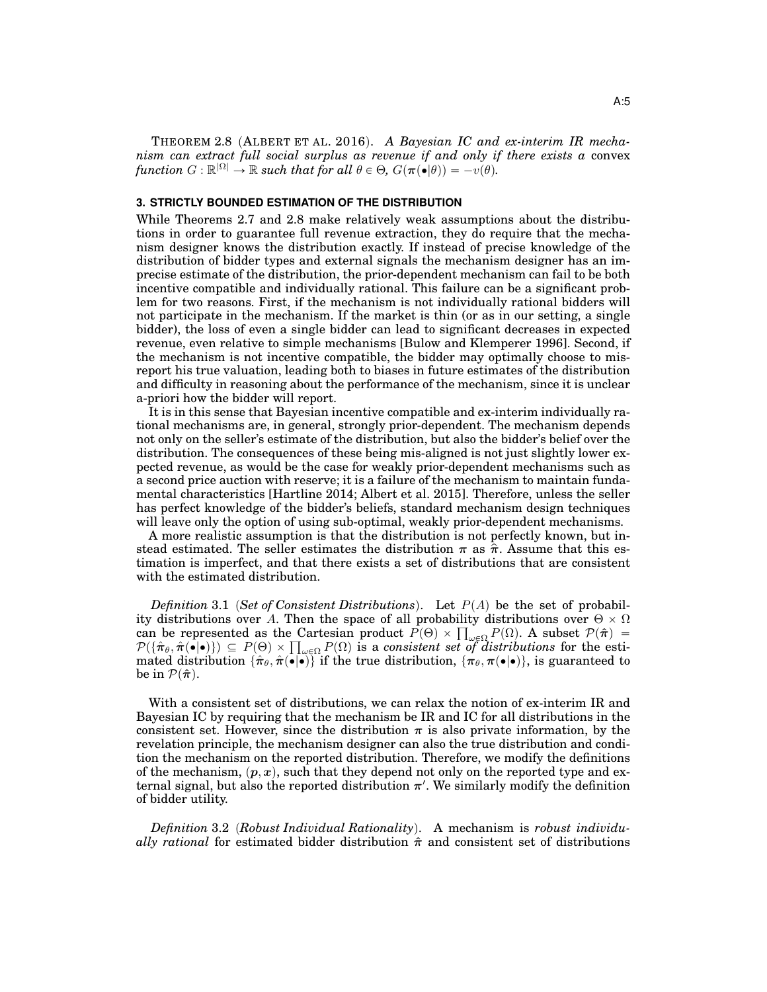THEOREM 2.8 (ALBERT ET AL. 2016). A Bayesian IC and ex-interim IR mecha*nism can extract full social surplus as revenue if and only if there exists a* convex  $function G: \mathbb{R}^{|\Omega|} \to \mathbb{R} \text{ such that for all } \theta \in \Theta, G(\pi(\bullet|\theta)) = -v(\theta).$ 

#### **3. STRICTLY BOUNDED ESTIMATION OF THE DISTRIBUTION**

While Theorems 2.7 and 2.8 make relatively weak assumptions about the distributions in order to guarantee full revenue extraction, they do require that the mechanism designer knows the distribution exactly. If instead of precise knowledge of the distribution of bidder types and external signals the mechanism designer has an imprecise estimate of the distribution, the prior-dependent mechanism can fail to be both incentive compatible and individually rational. This failure can be a significant problem for two reasons. First, if the mechanism is not individually rational bidders will not participate in the mechanism. If the market is thin (or as in our setting, a single bidder), the loss of even a single bidder can lead to significant decreases in expected revenue, even relative to simple mechanisms [Bulow and Klemperer 1996]. Second, if the mechanism is not incentive compatible, the bidder may optimally choose to misreport his true valuation, leading both to biases in future estimates of the distribution and difficulty in reasoning about the performance of the mechanism, since it is unclear a-priori how the bidder will report.

It is in this sense that Bayesian incentive compatible and ex-interim individually rational mechanisms are, in general, strongly prior-dependent. The mechanism depends not only on the seller's estimate of the distribution, but also the bidder's belief over the distribution. The consequences of these being mis-aligned is not just slightly lower expected revenue, as would be the case for weakly prior-dependent mechanisms such as a second price auction with reserve; it is a failure of the mechanism to maintain fundamental characteristics [Hartline 2014; Albert et al. 2015]. Therefore, unless the seller has perfect knowledge of the bidder's beliefs, standard mechanism design techniques will leave only the option of using sub-optimal, weakly prior-dependent mechanisms.

A more realistic assumption is that the distribution is not perfectly known, but instead estimated. The seller estimates the distribution  $\pi$  as  $\hat{\pi}$ . Assume that this estimation is imperfect, and that there exists a set of distributions that are consistent with the estimated distribution.

*Definition* 3.1 (Set of Consistent Distributions). Let  $P(A)$  be the set of probability distributions over A. Then the space of all probability distributions over  $\Theta \times \Omega$ ity distributions over A. Then the space of all probability distributions over  $\Theta \times \Omega$ <br>can be represented as the Cartesian product  $P(\Theta) \times \prod_{\omega \in \Omega} P(\Omega)$ . A subset  $P(\hat{\pi}) =$ <br> $P(\{\hat{\pi}_{\theta}, \hat{\pi}(\bullet | \bullet)\}) \subseteq P(\Theta) \times \prod_{\omega \in \Omega} P(\Omega)$ mated distribution  $\{\hat{\pi}_\theta,\hat{\pi}(\bullet|\bullet)\}$  if the true distribution,  $\{\pi_\theta,\pi(\bullet|\bullet)\}$ , is guaranteed to be in  $\mathcal{P}(\hat{\pi})$ .

With a consistent set of distributions, we can relax the notion of ex-interim IR and Bayesian IC by requiring that the mechanism be IR and IC for all distributions in the consistent set. However, since the distribution  $\pi$  is also private information, by the revelation principle, the mechanism designer can also the true distribution and condition the mechanism on the reported distribution. Therefore, we modify the definitions of the mechanism,  $(p, x)$ , such that they depend not only on the reported type and external signal, but also the reported distribution  $\pi'$ . We similarly modify the definition of bidder utility.

Definition 3.2 (Robust Individual Rationality). A mechanism is *robust individually rational* for estimated bidder distribution  $\hat{\pi}$  and consistent set of distributions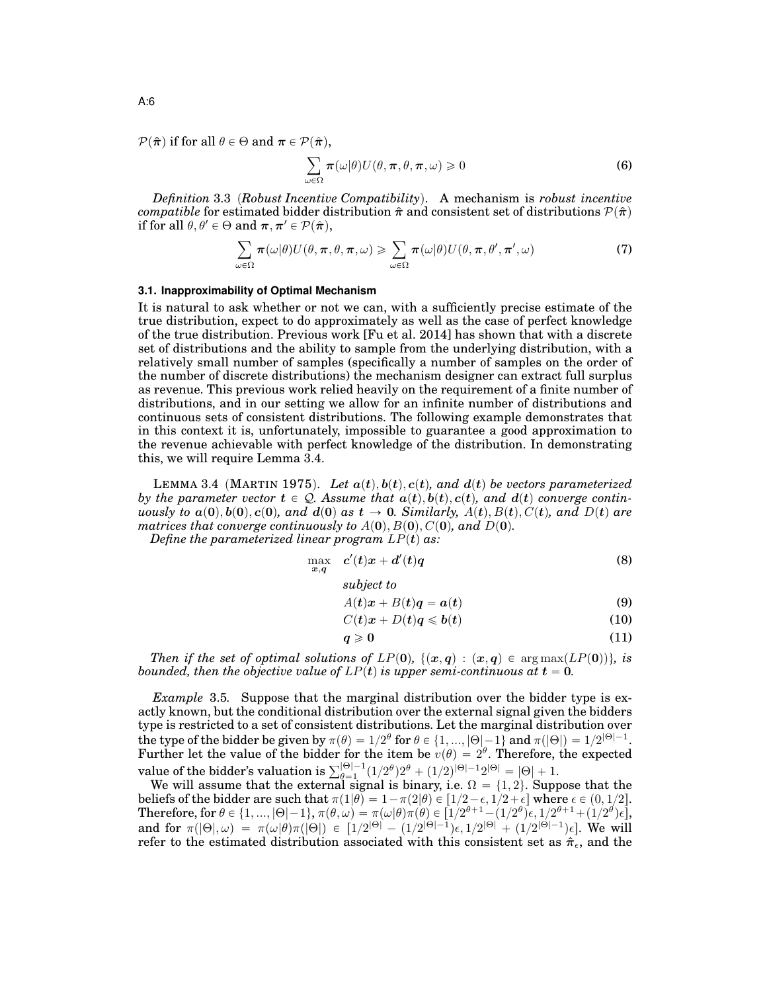$\mathcal{P}(\hat{\boldsymbol{\pi}})$  if for all  $\theta \in \Theta$  and  $\boldsymbol{\pi} \in \mathcal{P}(\hat{\boldsymbol{\pi}})$ ,

$$
\sum_{\omega \in \Omega} \pi(\omega|\theta) U(\theta, \pi, \theta, \pi, \omega) \ge 0
$$
\n(6)

*Definition* 3.3 (*Robust Incentive Compatibility*). A mechanism is *robust incentive compatible* for estimated bidder distribution  $\hat{\pi}$  and consistent set of distributions  $\mathcal{P}(\hat{\pi})$ if for all  $\theta, \theta' \in \Theta$  and  $\pi, \pi' \in \mathcal{P}(\hat{\pi}),$ 

$$
\sum_{\omega \in \Omega} \pi(\omega|\theta) U(\theta, \pi, \theta, \pi, \omega) \geq \sum_{\omega \in \Omega} \pi(\omega|\theta) U(\theta, \pi, \theta', \pi', \omega)
$$
(7)

#### **3.1. Inapproximability of Optimal Mechanism**

It is natural to ask whether or not we can, with a sufficiently precise estimate of the true distribution, expect to do approximately as well as the case of perfect knowledge of the true distribution. Previous work [Fu et al. 2014] has shown that with a discrete set of distributions and the ability to sample from the underlying distribution, with a relatively small number of samples (specifically a number of samples on the order of the number of discrete distributions) the mechanism designer can extract full surplus as revenue. This previous work relied heavily on the requirement of a finite number of distributions, and in our setting we allow for an infinite number of distributions and continuous sets of consistent distributions. The following example demonstrates that in this context it is, unfortunately, impossible to guarantee a good approximation to the revenue achievable with perfect knowledge of the distribution. In demonstrating this, we will require Lemma 3.4.

LEMMA 3.4 (MARTIN 1975). Let  $a(t)$ ,  $b(t)$ ,  $c(t)$ , and  $d(t)$  be vectors parameterized *by the parameter vector*  $t \in \mathcal{Q}$ . Assume that  $a(t), b(t), c(t)$ , and  $d(t)$  converge contin*uously to*  $a(0), b(0), c(0)$ *, and*  $d(0)$  *as*  $t \rightarrow 0$ *. Similarly,*  $A(t), B(t), C(t)$ *, and*  $D(t)$  *are matrices that converge continuously to*  $A(0), B(0), C(0)$ *, and*  $D(0)$ *.* 

*Define the parameterized linear program*  $LP(t)$  *as:* 

$$
\max_{x,q} c'(t)x + d'(t)q \tag{8}
$$

*subject to*

$$
A(t)x + B(t)q = a(t)
$$
\n(9)

$$
C(t)x + D(t)q \leqslant b(t) \tag{10}
$$

$$
q \geqslant 0 \tag{11}
$$

*Then if the set of optimal solutions of*  $LP(0)$ ,  $\{(x, q) : (x, q) \in \arg \max (LP(0))\}$ , is *bounded, then the objective value of*  $LP(t)$  *is upper semi-continuous at*  $t = 0$ *.* 

*Example* 3.5*.* Suppose that the marginal distribution over the bidder type is exactly known, but the conditional distribution over the external signal given the bidders type is restricted to a set of consistent distributions. Let the marginal distribution over the type of the bidder be given by  $\pi(\theta) = 1/2^\theta$  for  $\theta \in \{1, ..., |\Theta|-1\}$  and  $\pi(|\Theta|) = 1/2^{|\Theta|-1}$ . Further let the value of the bidder for the item be  $v(\theta) = 2^{\theta}$ . Therefore, the expected Further let the value of the bidder for the item be  $v(\theta) = 2$ . Therefore,<br>value of the bidder's valuation is  $\sum_{\theta=1}^{|\Theta|-1} (1/2^{\theta})2^{\theta} + (1/2)^{|\Theta|-1}2^{|\Theta|} = |\Theta| + 1$ .

We will assume that the external signal is binary, i.e.  $\Omega = \{1, 2\}$ . Suppose that the beliefs of the bidder are such that  $\pi(1|\theta) = 1 - \pi(2|\theta) \in [1/2 - \epsilon, 1/2 + \epsilon]$  where  $\epsilon \in (0, 1/2]$ .  $\text{Therefore, for } \theta \in \{1, ..., |\Theta|-1\}, \pi(\theta, \omega) = \pi(\omega|\theta)\pi(\theta) \in \llbracket 1/2^{\theta+1} - (1/2^{\theta})\epsilon, 1/2^{\theta+1} + (1/2^{\theta})\epsilon \rrbracket,$ and for  $\pi(|\Theta|, \omega) = \pi(\omega|\theta)\pi(|\Theta|) \in [1/2^{|\Theta|} - (1/2^{|\Theta|-1})\epsilon, 1/2^{|\Theta|} + (1/2^{|\Theta|-1})\epsilon]$ . We will refer to the estimated distribution associated with this consistent set as  $\hat{\pi}_{\epsilon}$ , and the

A:6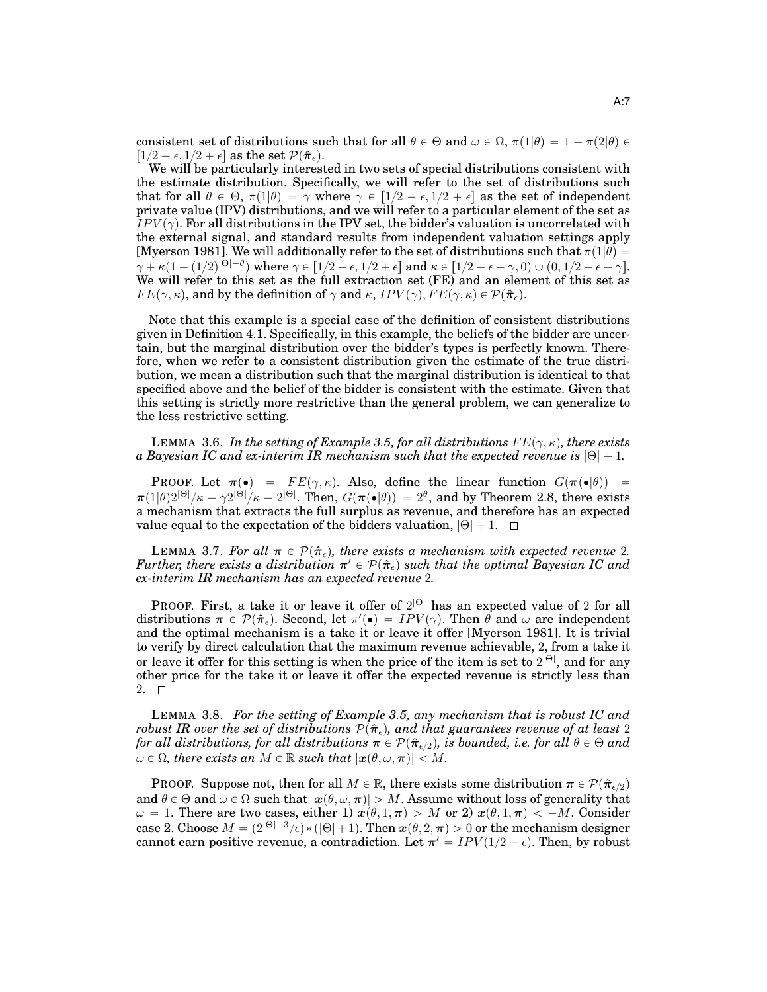consistent set of distributions such that for all  $\theta \in \Theta$  and  $\omega \in \Omega$ ,  $\pi(1|\theta) = 1 - \pi(2|\theta) \in$  $[1/2 - \epsilon, 1/2 + \epsilon]$  as the set  $\mathcal{P}(\hat{\pi}_{\epsilon})$ .

We will be particularly interested in two sets of special distributions consistent with the estimate distribution. Specifically, we will refer to the set of distributions such that for all  $\theta \in \Theta$ ,  $\pi(1|\theta) = \gamma$  where  $\gamma \in [1/2 - \epsilon, 1/2 + \epsilon]$  as the set of independent private value (IPV) distributions, and we will refer to a particular element of the set as  $IPV(\gamma)$ . For all distributions in the IPV set, the bidder's valuation is uncorrelated with the external signal, and standard results from independent valuation settings apply [Myerson 1981]. We will additionally refer to the set of distributions such that  $\pi(1|\theta)$  =  $\gamma + \kappa (1 - (1/2)^{|\Theta|-\theta})$  where  $\gamma \in [1/2 - \epsilon, 1/2 + \epsilon]$  and  $\kappa \in [1/2 - \epsilon - \gamma, 0) \cup (0, 1/2 + \epsilon - \gamma].$ We will refer to this set as the full extraction set (FE) and an element of this set as  $FE(\gamma, \kappa)$ , and by the definition of  $\gamma$  and  $\kappa$ ,  $IPV(\gamma)$ ,  $FE(\gamma, \kappa) \in \mathcal{P}(\hat{\pi}_{\epsilon})$ .

Note that this example is a special case of the definition of consistent distributions given in Definition 4.1. Specifically, in this example, the beliefs of the bidder are uncertain, but the marginal distribution over the bidder's types is perfectly known. Therefore, when we refer to a consistent distribution given the estimate of the true distribution, we mean a distribution such that the marginal distribution is identical to that specified above and the belief of the bidder is consistent with the estimate. Given that this setting is strictly more restrictive than the general problem, we can generalize to the less restrictive setting.

LEMMA 3.6. In the setting of Example 3.5, for all distributions  $FE(\gamma, \kappa)$ , there exists *a Bayesian IC and ex-interim IR mechanism such that the expected revenue is*  $|\Theta| + 1$ .

PROOF. Let  $\pi(\bullet) = FE(\gamma, \kappa)$ . Also, define the linear function  $G(\pi(\bullet|\theta)) =$  $\pi(1|\theta)2^{|\Theta|}/\kappa-\gamma2^{|\Theta|}/\kappa+2^{|\Theta|}.$  Then,  $G(\pi(\bullet|\theta))\,=\,2^{\theta},$  and by Theorem 2.8, there exists a mechanism that extracts the full surplus as revenue, and therefore has an expected value equal to the expectation of the bidders valuation,  $|\Theta| + 1$ .  $\square$ 

**LEMMA** 3.7. For all  $\pi \in \mathcal{P}(\hat{\pi}_{\epsilon})$ , there exists a mechanism with expected revenue 2.  $\it Further,$  there exists a distribution  $\pi' \in \mathcal{P}(\hat{\pi}_{\epsilon})$  such that the optimal Bayesian IC and *ex-interim IR mechanism has an expected revenue* 2*.*

PROOF. First, a take it or leave it offer of  $2^{|\Theta|}$  has an expected value of 2 for all distributions  $\pi \in \mathcal{P}(\hat{\pi}_{\epsilon})$ . Second, let  $\pi'(\bullet) = IPV(\gamma)$ . Then  $\theta$  and  $\omega$  are independent and the optimal mechanism is a take it or leave it offer [Myerson 1981]. It is trivial to verify by direct calculation that the maximum revenue achievable, 2, from a take it or leave it offer for this setting is when the price of the item is set to  $2^{|\Theta|}$ , and for any other price for the take it or leave it offer the expected revenue is strictly less than 2.  $\Box$ 

LEMMA 3.8. *For the setting of Example 3.5, any mechanism that is robust IC and robust IR over the set of distributions*  $\mathcal{P}(\hat{\pi}_{\epsilon})$ *, and that guarantees revenue of at least* 2 *for all distributions, for all distributions*  $\pi \in \mathcal{P}(\hat{\pi}_{\epsilon/2})$ , is bounded, i.e. for all  $\theta \in \Theta$  and  $\omega \in \Omega$ , there exists an  $M \in \mathbb{R}$  such that  $|x(\theta, \omega, \pi)| < M$ .

PROOF. Suppose not, then for all  $M \in \mathbb{R}$ , there exists some distribution  $\pi \in \mathcal{P}(\hat{\pi}_{\epsilon/2})$ and  $\theta \in \Theta$  and  $\omega \in \Omega$  such that  $|x(\theta, \omega, \pi)| > M$ . Assume without loss of generality that  $\omega = 1$ . There are two cases, either 1)  $x(\theta, 1, \pi) > M$  or 2)  $x(\theta, 1, \pi) < -M$ . Consider case 2. Choose  $M = (2^{|\Theta|+3}/\epsilon) * (|\Theta|+1)$ . Then  $x(\theta, 2, \pi) > 0$  or the mechanism designer cannot earn positive revenue, a contradiction. Let  $\boldsymbol{\pi}' = \textit{IPV} (1/2 + \epsilon).$  Then, by robust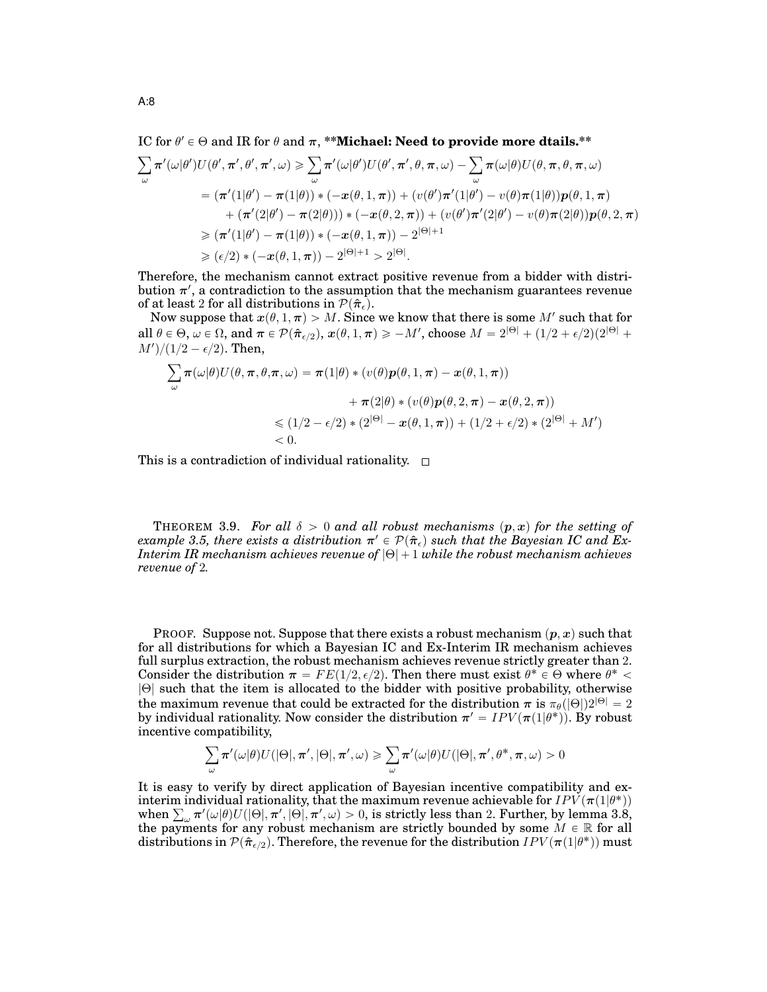# IC for  $\theta' \in \Theta$  and IR for  $\theta$  and  $\pi$ , \*\***Michael: Need to provide more dtails.\*\***

$$
\sum_{\omega} \pi'(\omega|\theta')U(\theta', \pi', \theta', \pi', \omega) \ge \sum_{\omega} \pi'(\omega|\theta')U(\theta', \pi', \theta, \pi, \omega) - \sum_{\omega} \pi(\omega|\theta)U(\theta, \pi, \theta, \pi, \omega)
$$
  
=  $(\pi'(1|\theta') - \pi(1|\theta)) * (-x(\theta, 1, \pi)) + (v(\theta')\pi'(1|\theta') - v(\theta)\pi(1|\theta))p(\theta, 1, \pi)$   
+  $(\pi'(2|\theta') - \pi(2|\theta))) * (-x(\theta, 2, \pi)) + (v(\theta')\pi'(2|\theta') - v(\theta)\pi(2|\theta))p(\theta, 2, \pi)$   
 $\ge (\pi'(1|\theta') - \pi(1|\theta)) * (-x(\theta, 1, \pi)) - 2^{|\Theta|+1}$   
 $\ge (\epsilon/2) * (-x(\theta, 1, \pi)) - 2^{|\Theta|+1} > 2^{|\Theta|}.$ 

Therefore, the mechanism cannot extract positive revenue from a bidder with distribution  $\pi'$ , a contradiction to the assumption that the mechanism guarantees revenue of at least 2 for all distributions in  $\mathcal{P}(\hat{\pi}_{\epsilon})$ .

Now suppose that  $x(\theta, 1, \pi) > M$ . Since we know that there is some  $M'$  such that for all  $\theta \in \Theta$ ,  $\omega \in \Omega$ , and  $\pi \in \mathcal{P}(\hat{\boldsymbol{\pi}}_{\epsilon/2})$ ,  $\boldsymbol{x}(\theta, 1, \boldsymbol{\pi}) \geqslant -M'$ , choose  $M = 2^{|\Theta|} + (1/2 + \epsilon/2)(2^{|\Theta|} +$  $M')/(1/2 - \epsilon/2)$ . Then,  $\zeta$ 

$$
\sum_{\omega} \pi(\omega|\theta) U(\theta, \pi, \theta, \pi, \omega) = \pi(1|\theta) * (v(\theta)\mathbf{p}(\theta, 1, \pi) - \mathbf{x}(\theta, 1, \pi))
$$

$$
+ \pi(2|\theta) * (v(\theta)\mathbf{p}(\theta, 2, \pi) - \mathbf{x}(\theta, 2, \pi))
$$

$$
\leq (1/2 - \epsilon/2) * (2^{|\Theta|} - \mathbf{x}(\theta, 1, \pi)) + (1/2 + \epsilon/2) * (2^{|\Theta|} + M')
$$

$$
< 0.
$$

This is a contradiction of individual rationality.  $\Box$ 

THEOREM 3.9. *For all*  $\delta > 0$  *and all robust mechanisms*  $(p, x)$  *for the setting of*  $\emph{example 3.5, there exists a distribution $\pi'\in\mathcal{P}(\hat{\pi}_\epsilon)$ such that the Bayesian IC and Ex-$ *Interim IR mechanism achieves revenue of*  $|\Theta| + 1$  *while the robust mechanism achieves revenue of* 2*.*

PROOF. Suppose not. Suppose that there exists a robust mechanism  $(p, x)$  such that for all distributions for which a Bayesian IC and Ex-Interim IR mechanism achieves full surplus extraction, the robust mechanism achieves revenue strictly greater than 2. Consider the distribution  $\pi = FE(1/2, \epsilon/2)$ . Then there must exist  $\theta^* \in \Theta$  where  $\theta^* < \theta$ |Θ| such that the item is allocated to the bidder with positive probability, otherwise the maximum revenue that could be extracted for the distribution  $\pi$  is  $\pi_\theta(|\Theta|)2^{|\Theta|}=2$ by individual rationality. Now consider the distribution  $\bm{\pi}' = IPV(\bm{\pi}(1|\theta^*)).$  By robust incentive compatibility,

$$
\sum_{\omega} \pi'(\omega|\theta) U(|\Theta|, \pi', |\Theta|, \pi', \omega) \geqslant \sum_{\omega} \pi'(\omega|\theta) U(|\Theta|, \pi', \theta^*, \pi, \omega) > 0
$$

It is easy to verify by direct application of Bayesian incentive compatibility and exinterim individual rationality, that the maximum revenue achievable for  $IPV(\bm{\pi}(1|\theta^*))$ interim individual rationality, that the maximum revenue achievable for  $IPV(\pi(1|\theta^*))$ <br>when  $\sum_{\omega} \pi'(\omega|\theta) U(|\Theta|, \pi', |\Theta|, \pi', \omega) > 0$ , is strictly less than 2. Further, by lemma 3.8, the payments for any robust mechanism are strictly bounded by some  $M \in \mathbb{R}$  for all distributions in  $\mathcal{P}(\hat{\bm{\pi}}_{\epsilon/2}).$  Therefore, the revenue for the distribution  $IPV(\bm{\pi}(1|\theta^*))$  must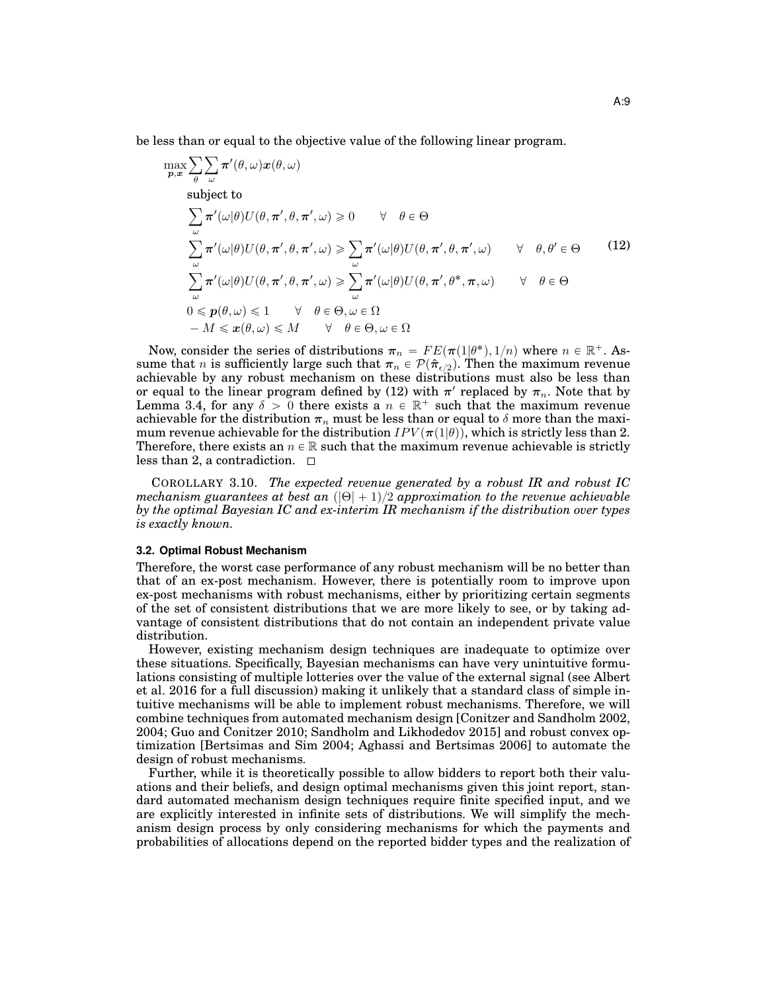be less than or equal to the objective value of the following linear program.

$$
\max_{\mathbf{p},\mathbf{x}} \sum_{\theta} \sum_{\omega} \pi'(\theta,\omega) \mathbf{x}(\theta,\omega)
$$
\nsubject to\n
$$
\sum_{\omega} \pi'(\omega|\theta) U(\theta, \pi', \theta, \pi', \omega) \ge 0 \quad \forall \theta \in \Theta
$$
\n
$$
\sum_{\omega} \pi'(\omega|\theta) U(\theta, \pi', \theta, \pi', \omega) \ge \sum_{\omega} \pi'(\omega|\theta) U(\theta, \pi', \theta, \pi', \omega) \quad \forall \theta, \theta' \in \Theta
$$
\n
$$
\sum_{\omega} \pi'(\omega|\theta) U(\theta, \pi', \theta, \pi', \omega) \ge \sum_{\omega} \pi'(\omega|\theta) U(\theta, \pi', \theta^*, \pi, \omega) \quad \forall \theta \in \Theta
$$
\n
$$
0 \le \mathbf{p}(\theta, \omega) \le 1 \quad \forall \theta \in \Theta, \omega \in \Omega
$$
\n
$$
-M \le \mathbf{x}(\theta, \omega) \le M \quad \forall \theta \in \Theta, \omega \in \Omega
$$

Now, consider the series of distributions  $\pi_n = FE(\pi(1|\theta^*), 1/n)$  where  $n \in \mathbb{R}^+$ . Assume that *n* is sufficiently large such that  $\pi_n \in \mathcal{P}(\hat{\pi}_{\epsilon/2})$ . Then the maximum revenue achievable by any robust mechanism on these distributions must also be less than or equal to the linear program defined by (12) with  $\pi'$  replaced by  $\pi_n$ . Note that by Lemma 3.4, for any  $\delta > 0$  there exists a  $n \in \mathbb{R}^+$  such that the maximum revenue achievable for the distribution  $\pi_n$  must be less than or equal to  $\delta$  more than the maximum revenue achievable for the distribution  $IPV(\pi(1|\theta))$ , which is strictly less than 2. Therefore, there exists an  $n \in \mathbb{R}$  such that the maximum revenue achievable is strictly less than 2, a contradiction.  $\square$ 

COROLLARY 3.10. *The expected revenue generated by a robust IR and robust IC mechanism guarantees at best an*  $(|\Theta| + 1)/2$  *approximation to the revenue achievable by the optimal Bayesian IC and ex-interim IR mechanism if the distribution over types is exactly known.*

#### **3.2. Optimal Robust Mechanism**

Therefore, the worst case performance of any robust mechanism will be no better than that of an ex-post mechanism. However, there is potentially room to improve upon ex-post mechanisms with robust mechanisms, either by prioritizing certain segments of the set of consistent distributions that we are more likely to see, or by taking advantage of consistent distributions that do not contain an independent private value distribution.

However, existing mechanism design techniques are inadequate to optimize over these situations. Specifically, Bayesian mechanisms can have very unintuitive formulations consisting of multiple lotteries over the value of the external signal (see Albert et al. 2016 for a full discussion) making it unlikely that a standard class of simple intuitive mechanisms will be able to implement robust mechanisms. Therefore, we will combine techniques from automated mechanism design [Conitzer and Sandholm 2002, 2004; Guo and Conitzer 2010; Sandholm and Likhodedov 2015] and robust convex optimization [Bertsimas and Sim 2004; Aghassi and Bertsimas 2006] to automate the design of robust mechanisms.

Further, while it is theoretically possible to allow bidders to report both their valuations and their beliefs, and design optimal mechanisms given this joint report, standard automated mechanism design techniques require finite specified input, and we are explicitly interested in infinite sets of distributions. We will simplify the mechanism design process by only considering mechanisms for which the payments and probabilities of allocations depend on the reported bidder types and the realization of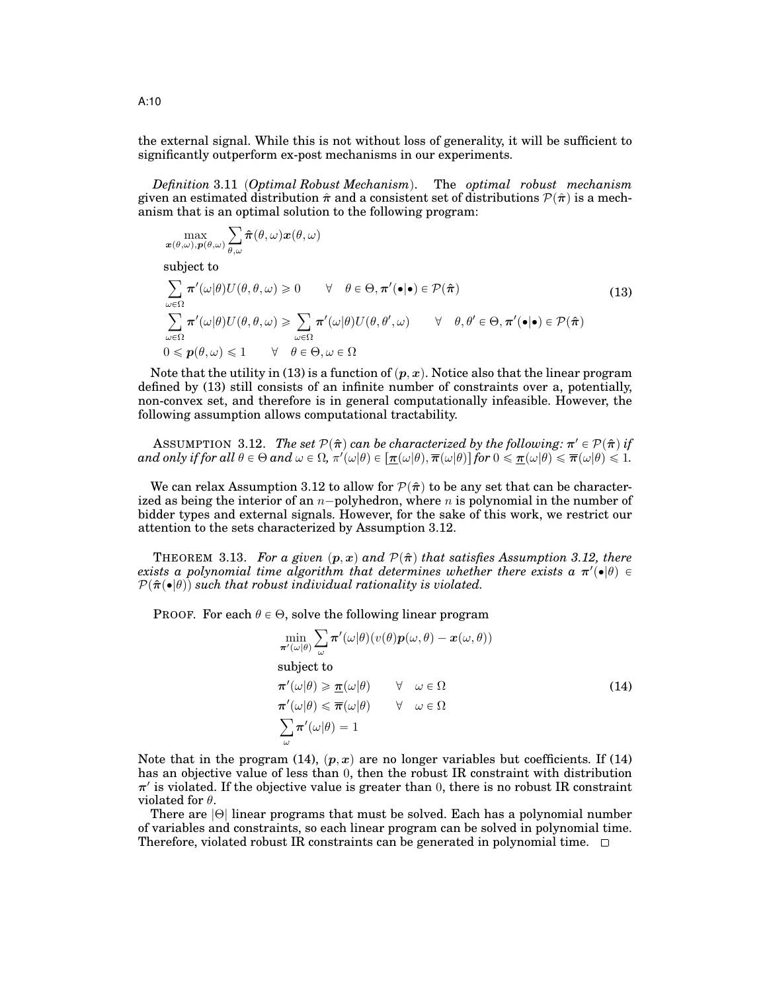the external signal. While this is not without loss of generality, it will be sufficient to significantly outperform ex-post mechanisms in our experiments.

*Definition* 3.11 (Optimal Robust Mechanism). The *optimal robust mechanism* given an estimated distribution  $\hat{\pi}$  and a consistent set of distributions  $\mathcal{P}(\hat{\pi})$  is a mechanism that is an optimal solution to the following program:

$$
\max_{\bm{x}(\theta,\omega),\bm{p}(\theta,\omega)}\sum_{\theta,\omega}\bm{\hat{\pi}}(\theta,\omega)\bm{x}(\theta,\omega)
$$

subject to

$$
\sum_{\omega \in \Omega} \pi'(\omega|\theta) U(\theta, \theta, \omega) \ge 0 \qquad \forall \quad \theta \in \Theta, \pi'(\bullet|\bullet) \in \mathcal{P}(\hat{\pi})
$$
\n
$$
\sum_{\omega \in \Omega} \pi'(\omega|\theta) U(\theta, \theta, \omega) \ge \sum_{\omega \in \Omega} \pi'(\omega|\theta) U(\theta, \theta', \omega) \qquad \forall \quad \theta, \theta' \in \Theta, \pi'(\bullet|\bullet) \in \mathcal{P}(\hat{\pi})
$$
\n
$$
0 \le p(\theta, \omega) \le 1 \qquad \forall \quad \theta \in \Theta, \omega \in \Omega
$$
\n(13)

Note that the utility in (13) is a function of  $(p, x)$ . Notice also that the linear program defined by (13) still consists of an infinite number of constraints over a, potentially, non-convex set, and therefore is in general computationally infeasible. However, the following assumption allows computational tractability.

 $\Delta$ SSUMPTION 3.12. *The set*  $\mathcal{P}(\hat{\bm{\pi}})$  *can be characterized by the following:*  $\bm{\pi}' \in \mathcal{P}(\hat{\bm{\pi}})$  *if*  $and$  only if for all  $\theta \in \Theta$  and  $\omega \in \Omega$ ,  $\pi'(\omega|\theta) \in [\underline{\pi}(\omega|\theta), \overline{\pi}(\omega|\theta)]$  for  $0 \leq \underline{\pi}(\omega|\theta) \leq \overline{\pi}(\omega|\theta) \leq 1$ .

We can relax Assumption 3.12 to allow for  $\mathcal{P}(\hat{\pi})$  to be any set that can be characterized as being the interior of an  $n$ -polyhedron, where n is polynomial in the number of bidder types and external signals. However, for the sake of this work, we restrict our attention to the sets characterized by Assumption 3.12.

THEOREM 3.13. For a given  $(p, x)$  and  $\mathcal{P}(\hat{\pi})$  that satisfies Assumption 3.12, there *exists a polynomial time algorithm that determines whether there exists a*  $\pi'(\bullet|\theta) \in$  $\mathcal{P}(\hat{\pi}(\bullet|\theta))$  such that robust individual rationality is violated.

PROOF. For each  $\theta \in \Theta$ , solve the following linear program

$$
\min_{\pi'(\omega|\theta)} \sum_{\omega} \pi'(\omega|\theta)(v(\theta)\mathbf{p}(\omega,\theta) - \mathbf{x}(\omega,\theta))
$$
\nsubject to\n
$$
\pi'(\omega|\theta) \ge \underline{\pi}(\omega|\theta) \quad \forall \quad \omega \in \Omega
$$
\n
$$
\pi'(\omega|\theta) \le \overline{\pi}(\omega|\theta) \quad \forall \quad \omega \in \Omega
$$
\n
$$
\sum_{\omega} \pi'(\omega|\theta) = 1
$$
\n(14)

Note that in the program (14),  $(p, x)$  are no longer variables but coefficients. If (14) has an objective value of less than 0, then the robust IR constraint with distribution  $\pi'$  is violated. If the objective value is greater than 0, there is no robust IR constraint violated for  $\theta$ .

There are |Θ| linear programs that must be solved. Each has a polynomial number of variables and constraints, so each linear program can be solved in polynomial time. Therefore, violated robust IR constraints can be generated in polynomial time.  $\square$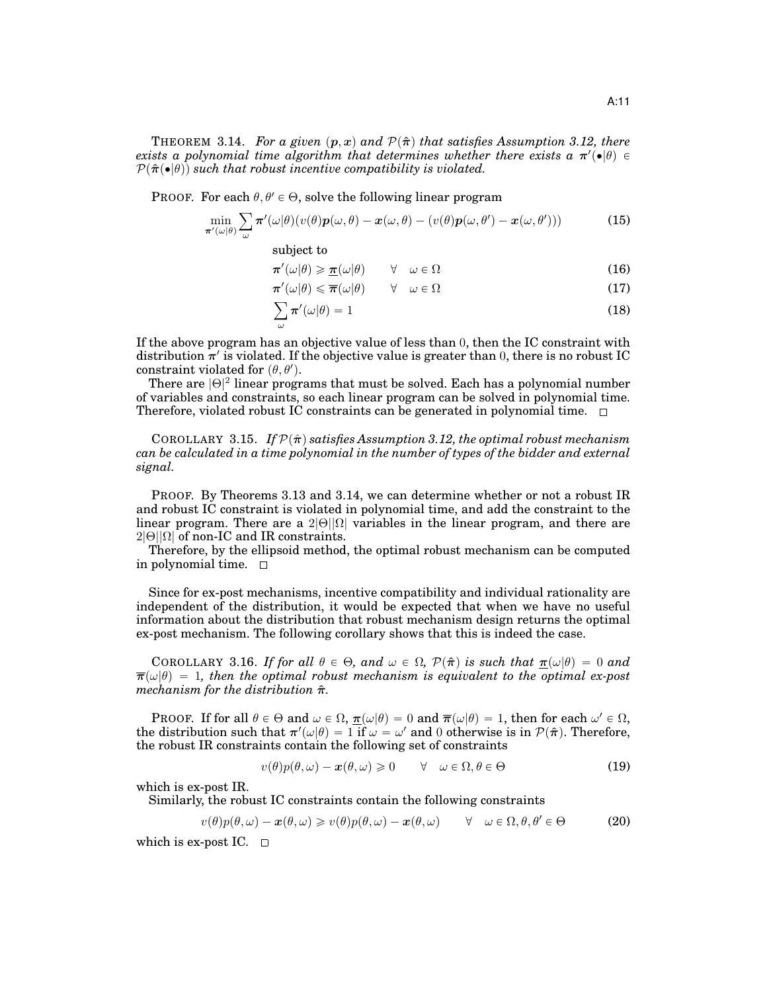THEOREM 3.14. *For a given*  $(p, x)$  and  $\mathcal{P}(\hat{\pi})$  that satisfies Assumption 3.12, there

*exists a polynomial time algorithm that determines whether there exists a*  $\pi'(\bullet|\theta) \in$  $\mathcal{P}(\hat{\pi}(\bullet|\theta))$  such that robust incentive compatibility is violated.

PROOF. For each  $\theta, \theta' \in \Theta$ , solve the following linear program

$$
\min_{\boldsymbol{\pi}'(\omega|\theta)} \sum_{\omega} \boldsymbol{\pi}'(\omega|\theta)(v(\theta)\boldsymbol{p}(\omega,\theta) - \boldsymbol{x}(\omega,\theta) - (v(\theta)\boldsymbol{p}(\omega,\theta') - \boldsymbol{x}(\omega,\theta')))
$$
(15)

subject to

$$
\pi'(\omega|\theta) \ge \underline{\pi}(\omega|\theta) \qquad \forall \quad \omega \in \Omega \tag{16}
$$

$$
\boldsymbol{\pi}'(\omega|\theta) \leq \boldsymbol{\overline{\pi}}(\omega|\theta) \qquad \forall \quad \omega \in \Omega \tag{17}
$$

$$
\sum_{\omega} \pi'(\omega|\theta) = 1 \tag{18}
$$

If the above program has an objective value of less than 0, then the IC constraint with distribution  $\pi'$  is violated. If the objective value is greater than 0, there is no robust IC constraint violated for  $(\theta, \theta')$ .

There are  $|\Theta|^2$  linear programs that must be solved. Each has a polynomial number of variables and constraints, so each linear program can be solved in polynomial time. Therefore, violated robust IC constraints can be generated in polynomial time.  $\Box$ 

COROLLARY 3.15. If  $\mathcal{P}(\hat{\pi})$  *satisfies Assumption 3.12, the optimal robust mechanism can be calculated in a time polynomial in the number of types of the bidder and external signal.*

PROOF. By Theorems 3.13 and 3.14, we can determine whether or not a robust IR and robust IC constraint is violated in polynomial time, and add the constraint to the linear program. There are a  $2|\Theta||\Omega|$  variables in the linear program, and there are  $2|\Theta||\Omega|$  of non-IC and IR constraints.

Therefore, by the ellipsoid method, the optimal robust mechanism can be computed in polynomial time.

Since for ex-post mechanisms, incentive compatibility and individual rationality are independent of the distribution, it would be expected that when we have no useful information about the distribution that robust mechanism design returns the optimal ex-post mechanism. The following corollary shows that this is indeed the case.

COROLLARY 3.16. *If for all*  $\theta \in \Theta$ *, and*  $\omega \in \Omega$ *,*  $\mathcal{P}(\hat{\pi})$  *is such that*  $\underline{\pi}(\omega|\theta) = 0$  *and*  $\overline{\pi}(\omega|\theta) = 1$ , then the optimal robust mechanism is equivalent to the optimal ex-post *mechanism for the distribution* πˆ*.*

PROOF. If for all  $\theta \in \Theta$  and  $\omega \in \Omega$ ,  $\underline{\pi}(\omega|\theta) = 0$  and  $\overline{\pi}(\omega|\theta) = 1$ , then for each  $\omega' \in \Omega$ , the distribution such that  $\pi'(\omega|\theta)=1$  if  $\omega=\omega'$  and  $0$  otherwise is in  $\mathcal{P}(\hat{\bm{\pi}})$ . Therefore, the robust IR constraints contain the following set of constraints

$$
v(\theta)p(\theta,\omega) - \mathbf{x}(\theta,\omega) \ge 0 \qquad \forall \quad \omega \in \Omega, \theta \in \Theta \tag{19}
$$

which is ex-post IR.

Similarly, the robust IC constraints contain the following constraints

$$
v(\theta)p(\theta,\omega) - \boldsymbol{x}(\theta,\omega) \geq v(\theta)p(\theta,\omega) - \boldsymbol{x}(\theta,\omega) \qquad \forall \quad \omega \in \Omega, \theta, \theta' \in \Theta \tag{20}
$$

which is ex-post IC.  $\square$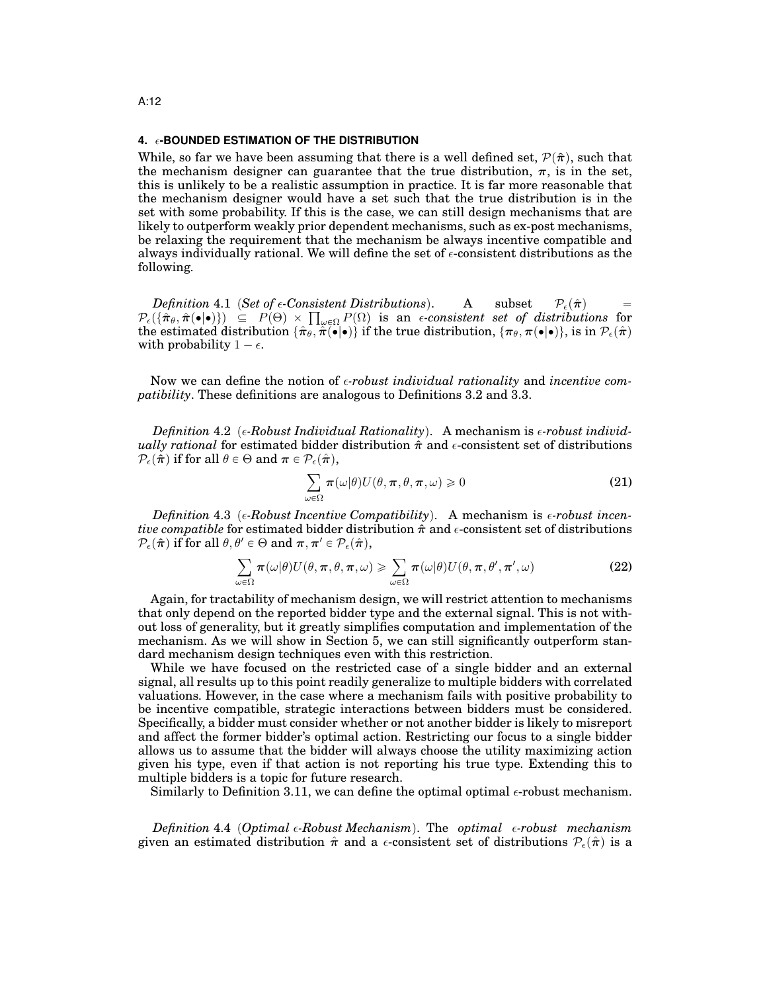#### **4. -BOUNDED ESTIMATION OF THE DISTRIBUTION**

While, so far we have been assuming that there is a well defined set,  $\mathcal{P}(\hat{\pi})$ , such that the mechanism designer can guarantee that the true distribution,  $\pi$ , is in the set, this is unlikely to be a realistic assumption in practice. It is far more reasonable that the mechanism designer would have a set such that the true distribution is in the set with some probability. If this is the case, we can still design mechanisms that are likely to outperform weakly prior dependent mechanisms, such as ex-post mechanisms, be relaxing the requirement that the mechanism be always incentive compatible and always individually rational. We will define the set of  $\epsilon$ -consistent distributions as the following.

*Definition* 4.1 (*Set of*  $\epsilon$ *-Consistent Distributions*). A subset  $P_{\epsilon}(\hat{\pi})$ Definition 4.1 (Set of  $\epsilon$ -Consistent Distributions). A subset  $P_{\epsilon}(\hat{\pi}) = P(\hat{\pi}, \hat{\pi}(\cdot | \cdot)) \subseteq P(\Theta) \times \prod_{\omega \in \Omega} P(\Omega)$  is an  $\epsilon$ -consistent set of distributions for the estimated distribution  $\{\hat{\pi}_{\theta}, \hat{\pi}(\cdot|\bullet)\}$  if the true distribution,  $\{\pi_{\theta}, \pi(\bullet|\bullet)\}$ , is in  $\mathcal{P}_{\epsilon}(\hat{\pi})$ with probability  $1 - \epsilon$ .

Now we can define the notion of *-robust individual rationality* and *incentive compatibility*. These definitions are analogous to Definitions 3.2 and 3.3.

*Definition* 4.2 ( $\epsilon$ -Robust Individual Rationality). A mechanism is  $\epsilon$ -robust individ*ually rational* for estimated bidder distribution  $\hat{\pi}$  and  $\epsilon$ -consistent set of distributions  $\mathcal{P}_{\epsilon}(\hat{\boldsymbol{\pi}})$  if for all  $\theta \in \Theta$  and  $\boldsymbol{\pi} \in \mathcal{P}_{\epsilon}(\hat{\boldsymbol{\pi}})$ ,

$$
\sum_{\omega \in \Omega} \pi(\omega|\theta) U(\theta, \pi, \theta, \pi, \omega) \ge 0
$$
\n(21)

*Definition* 4.3 ( $\epsilon$ -Robust Incentive Compatibility). A mechanism is  $\epsilon$ -robust incen*tive compatible* for estimated bidder distribution  $\hat{\pi}$  and  $\epsilon$ -consistent set of distributions  $\mathcal{P}_{\epsilon}(\hat{\boldsymbol{\pi}})$  if for all  $\theta, \theta' \in \Theta$  and  $\boldsymbol{\pi}, \boldsymbol{\pi}' \in \mathcal{P}_{\epsilon}(\hat{\boldsymbol{\pi}})$ ,

$$
\sum_{\omega \in \Omega} \pi(\omega|\theta) U(\theta, \pi, \theta, \pi, \omega) \ge \sum_{\omega \in \Omega} \pi(\omega|\theta) U(\theta, \pi, \theta', \pi', \omega)
$$
(22)

Again, for tractability of mechanism design, we will restrict attention to mechanisms that only depend on the reported bidder type and the external signal. This is not without loss of generality, but it greatly simplifies computation and implementation of the mechanism. As we will show in Section 5, we can still significantly outperform standard mechanism design techniques even with this restriction.

While we have focused on the restricted case of a single bidder and an external signal, all results up to this point readily generalize to multiple bidders with correlated valuations. However, in the case where a mechanism fails with positive probability to be incentive compatible, strategic interactions between bidders must be considered. Specifically, a bidder must consider whether or not another bidder is likely to misreport and affect the former bidder's optimal action. Restricting our focus to a single bidder allows us to assume that the bidder will always choose the utility maximizing action given his type, even if that action is not reporting his true type. Extending this to multiple bidders is a topic for future research.

Similarly to Definition 3.11, we can define the optimal optimal  $\epsilon$ -robust mechanism.

*Definition* 4.4 (*Optimal*  $\epsilon$ -Robust Mechanism). The *optimal*  $\epsilon$ -robust mechanism given an estimated distribution  $\hat{\pi}$  and a  $\epsilon$ -consistent set of distributions  $\mathcal{P}_{\epsilon}(\hat{\pi})$  is a

# A:12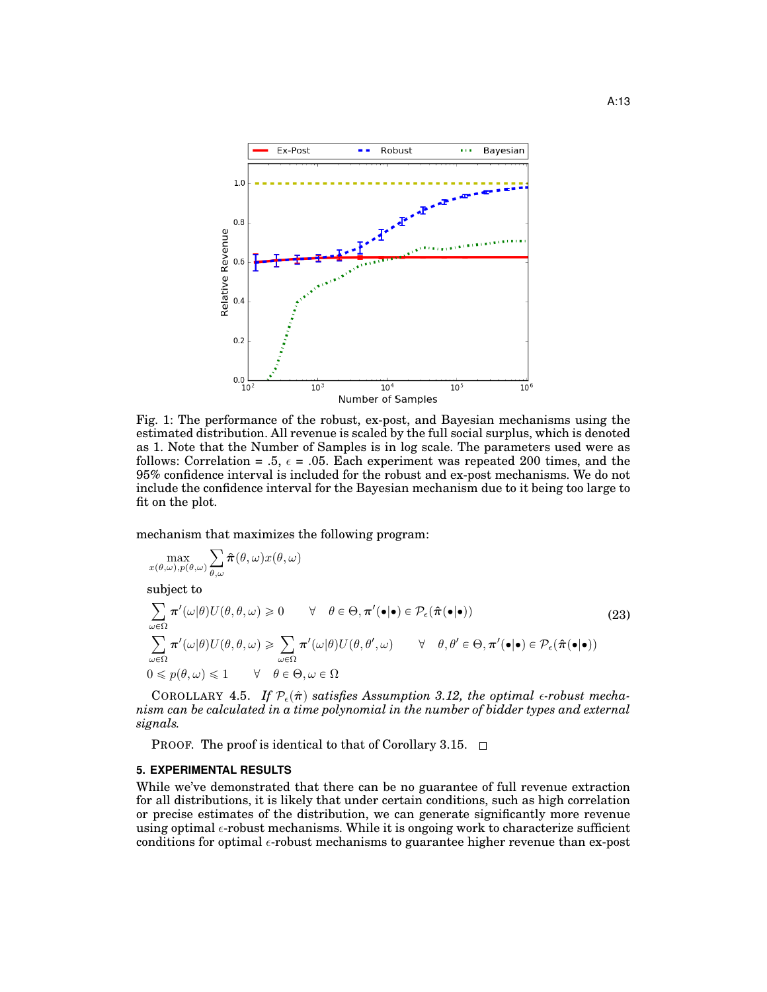

Fig. 1: The performance of the robust, ex-post, and Bayesian mechanisms using the estimated distribution. All revenue is scaled by the full social surplus, which is denoted as 1. Note that the Number of Samples is in log scale. The parameters used were as follows: Correlation = .5,  $\epsilon$  = .05. Each experiment was repeated 200 times, and the 95% confidence interval is included for the robust and ex-post mechanisms. We do not include the confidence interval for the Bayesian mechanism due to it being too large to fit on the plot.

mechanism that maximizes the following program:

$$
\max_{x(\theta,\omega),p(\theta,\omega)}\sum_{\theta,\omega}\boldsymbol{\hat{\pi}}(\theta,\omega)x(\theta,\omega)
$$

subject to

$$
\sum_{\omega \in \Omega} \pi'(\omega|\theta) U(\theta, \theta, \omega) \ge 0 \qquad \forall \quad \theta \in \Theta, \pi'(\bullet|\bullet) \in \mathcal{P}_{\epsilon}(\hat{\pi}(\bullet|\bullet))
$$
\n
$$
\sum_{\omega \in \Omega} \pi'(\omega|\theta) U(\theta, \theta, \omega) \ge \sum_{\omega \in \Omega} \pi'(\omega|\theta) U(\theta, \theta', \omega) \qquad \forall \quad \theta, \theta' \in \Theta, \pi'(\bullet|\bullet) \in \mathcal{P}_{\epsilon}(\hat{\pi}(\bullet|\bullet))
$$
\n
$$
0 \le p(\theta, \omega) \le 1 \qquad \forall \quad \theta \in \Theta, \omega \in \Omega
$$
\n(23)

COROLLARY 4.5. If  $\mathcal{P}_{\epsilon}(\hat{\pi})$  satisfies Assumption 3.12, the optimal  $\epsilon$ -robust mecha*nism can be calculated in a time polynomial in the number of bidder types and external signals.*

PROOF. The proof is identical to that of Corollary 3.15.  $\Box$ 

# **5. EXPERIMENTAL RESULTS**

While we've demonstrated that there can be no guarantee of full revenue extraction for all distributions, it is likely that under certain conditions, such as high correlation or precise estimates of the distribution, we can generate significantly more revenue using optimal  $\epsilon$ -robust mechanisms. While it is ongoing work to characterize sufficient conditions for optimal  $\epsilon$ -robust mechanisms to guarantee higher revenue than ex-post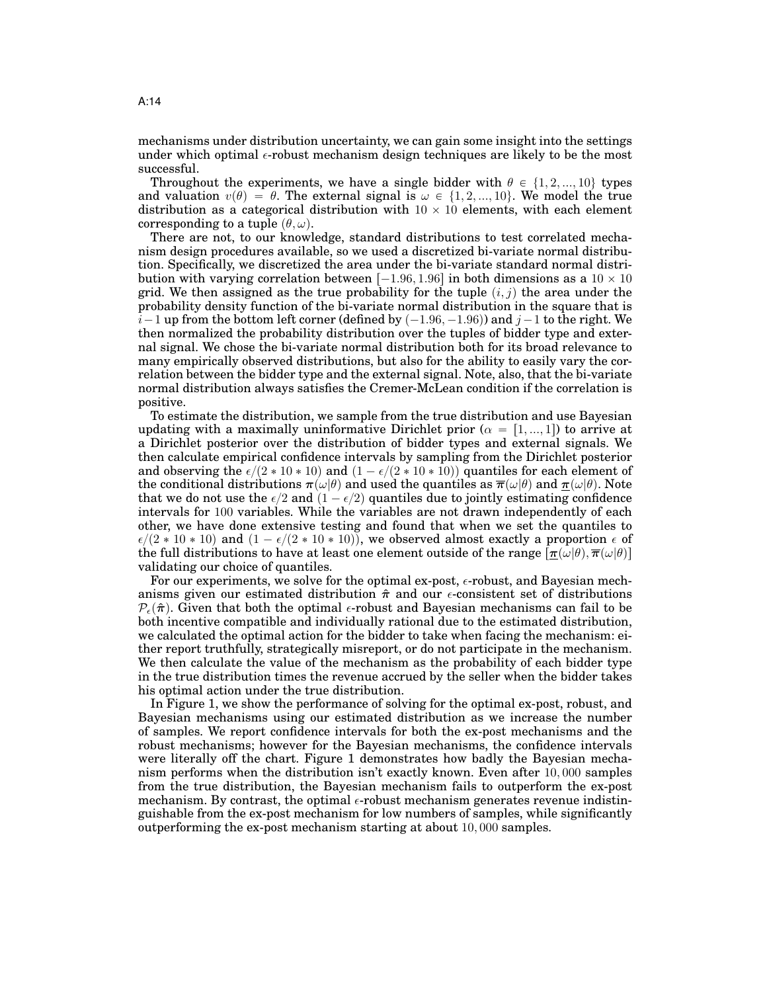mechanisms under distribution uncertainty, we can gain some insight into the settings under which optimal  $\epsilon$ -robust mechanism design techniques are likely to be the most successful.

Throughout the experiments, we have a single bidder with  $\theta \in \{1, 2, ..., 10\}$  types and valuation  $v(\theta) = \theta$ . The external signal is  $\omega \in \{1, 2, ..., 10\}$ . We model the true distribution as a categorical distribution with  $10 \times 10$  elements, with each element corresponding to a tuple  $(\theta, \omega)$ .

There are not, to our knowledge, standard distributions to test correlated mechanism design procedures available, so we used a discretized bi-variate normal distribution. Specifically, we discretized the area under the bi-variate standard normal distribution with varying correlation between  $[-1.96, 1.96]$  in both dimensions as a  $10 \times 10$ grid. We then assigned as the true probability for the tuple  $(i, j)$  the area under the probability density function of the bi-variate normal distribution in the square that is  $i-1$  up from the bottom left corner (defined by  $(-1.96, -1.96)$ ) and  $j-1$  to the right. We then normalized the probability distribution over the tuples of bidder type and external signal. We chose the bi-variate normal distribution both for its broad relevance to many empirically observed distributions, but also for the ability to easily vary the correlation between the bidder type and the external signal. Note, also, that the bi-variate normal distribution always satisfies the Cremer-McLean condition if the correlation is positive.

To estimate the distribution, we sample from the true distribution and use Bayesian updating with a maximally uninformative Dirichlet prior ( $\alpha = [1, ..., 1]$ ) to arrive at a Dirichlet posterior over the distribution of bidder types and external signals. We then calculate empirical confidence intervals by sampling from the Dirichlet posterior and observing the  $\epsilon/(2 * 10 * 10)$  and  $(1 - \epsilon/(2 * 10 * 10))$  quantiles for each element of the conditional distributions  $\pi(\omega|\theta)$  and used the quantiles as  $\overline{\pi}(\omega|\theta)$  and  $\pi(\omega|\theta)$ . Note that we do not use the  $\epsilon/2$  and  $(1 - \epsilon/2)$  quantiles due to jointly estimating confidence intervals for 100 variables. While the variables are not drawn independently of each other, we have done extensive testing and found that when we set the quantiles to  $\epsilon/(2 * 10 * 10)$  and  $(1 - \epsilon/(2 * 10 * 10))$ , we observed almost exactly a proportion  $\epsilon$  of the full distributions to have at least one element outside of the range  $[\pi(\omega|\theta), \overline{\pi}(\omega|\theta)]$ validating our choice of quantiles.

For our experiments, we solve for the optimal ex-post,  $\epsilon$ -robust, and Bayesian mechanisms given our estimated distribution  $\hat{\pi}$  and our  $\epsilon$ -consistent set of distributions  $P_{\epsilon}(\hat{\pi})$ . Given that both the optimal  $\epsilon$ -robust and Bayesian mechanisms can fail to be both incentive compatible and individually rational due to the estimated distribution, we calculated the optimal action for the bidder to take when facing the mechanism: either report truthfully, strategically misreport, or do not participate in the mechanism. We then calculate the value of the mechanism as the probability of each bidder type in the true distribution times the revenue accrued by the seller when the bidder takes his optimal action under the true distribution.

In Figure 1, we show the performance of solving for the optimal ex-post, robust, and Bayesian mechanisms using our estimated distribution as we increase the number of samples. We report confidence intervals for both the ex-post mechanisms and the robust mechanisms; however for the Bayesian mechanisms, the confidence intervals were literally off the chart. Figure 1 demonstrates how badly the Bayesian mechanism performs when the distribution isn't exactly known. Even after 10, 000 samples from the true distribution, the Bayesian mechanism fails to outperform the ex-post mechanism. By contrast, the optimal  $\epsilon$ -robust mechanism generates revenue indistinguishable from the ex-post mechanism for low numbers of samples, while significantly outperforming the ex-post mechanism starting at about 10, 000 samples.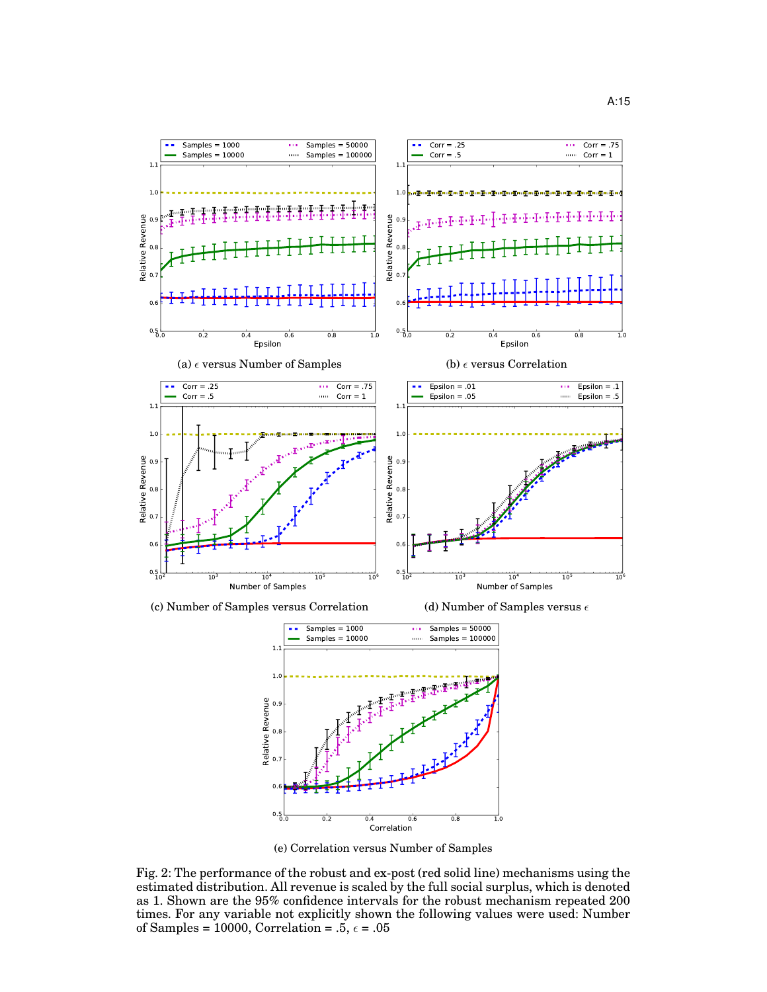

(e) Correlation versus Number of Samples Fig. 2: The performance of the robust and ex-post (red solid line) mechanisms using the estimated distribution. All revenue is scaled by the full social surplus, which is denoted as 1. Shown are the 95% confidence intervals for the robust mechanism repeated 200 times. For any variable not explicitly shown the following values were used: Number of Samples = 10000, Correlation =  $.5, \epsilon = .05$ 

0.0 0.2 0.4 0.6 0.8 1.0 Correlation

 $0.5<sub>0.0</sub>$ 

 $\overline{0}$ 

 $\Omega$ .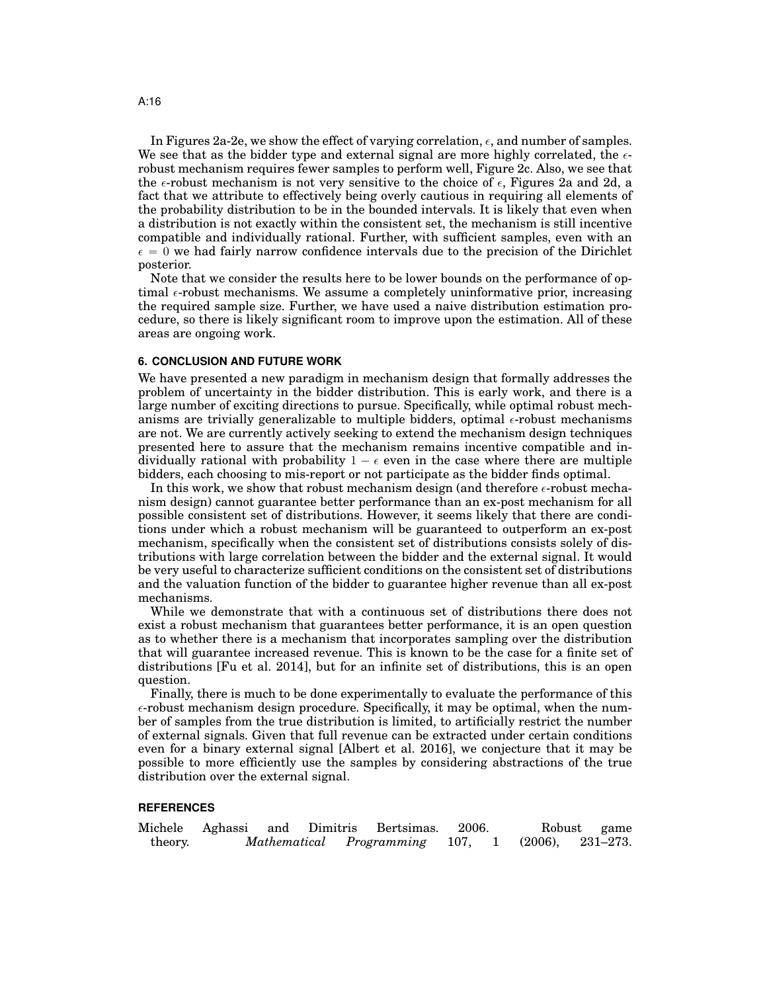In Figures 2a-2e, we show the effect of varying correlation,  $\epsilon$ , and number of samples. We see that as the bidder type and external signal are more highly correlated, the  $\epsilon$ robust mechanism requires fewer samples to perform well, Figure 2c. Also, we see that the  $\epsilon$ -robust mechanism is not very sensitive to the choice of  $\epsilon$ , Figures 2a and 2d, a fact that we attribute to effectively being overly cautious in requiring all elements of the probability distribution to be in the bounded intervals. It is likely that even when a distribution is not exactly within the consistent set, the mechanism is still incentive compatible and individually rational. Further, with sufficient samples, even with an  $\epsilon = 0$  we had fairly narrow confidence intervals due to the precision of the Dirichlet posterior.

Note that we consider the results here to be lower bounds on the performance of optimal  $\epsilon$ -robust mechanisms. We assume a completely uninformative prior, increasing the required sample size. Further, we have used a naive distribution estimation procedure, so there is likely significant room to improve upon the estimation. All of these areas are ongoing work.

#### **6. CONCLUSION AND FUTURE WORK**

We have presented a new paradigm in mechanism design that formally addresses the problem of uncertainty in the bidder distribution. This is early work, and there is a large number of exciting directions to pursue. Specifically, while optimal robust mechanisms are trivially generalizable to multiple bidders, optimal  $\epsilon$ -robust mechanisms are not. We are currently actively seeking to extend the mechanism design techniques presented here to assure that the mechanism remains incentive compatible and individually rational with probability  $1 - \epsilon$  even in the case where there are multiple bidders, each choosing to mis-report or not participate as the bidder finds optimal.

In this work, we show that robust mechanism design (and therefore  $\epsilon$ -robust mechanism design) cannot guarantee better performance than an ex-post mechanism for all possible consistent set of distributions. However, it seems likely that there are conditions under which a robust mechanism will be guaranteed to outperform an ex-post mechanism, specifically when the consistent set of distributions consists solely of distributions with large correlation between the bidder and the external signal. It would be very useful to characterize sufficient conditions on the consistent set of distributions and the valuation function of the bidder to guarantee higher revenue than all ex-post mechanisms.

While we demonstrate that with a continuous set of distributions there does not exist a robust mechanism that guarantees better performance, it is an open question as to whether there is a mechanism that incorporates sampling over the distribution that will guarantee increased revenue. This is known to be the case for a finite set of distributions [Fu et al. 2014], but for an infinite set of distributions, this is an open question.

Finally, there is much to be done experimentally to evaluate the performance of this  $\epsilon$ -robust mechanism design procedure. Specifically, it may be optimal, when the number of samples from the true distribution is limited, to artificially restrict the number of external signals. Given that full revenue can be extracted under certain conditions even for a binary external signal [Albert et al. 2016], we conjecture that it may be possible to more efficiently use the samples by considering abstractions of the true distribution over the external signal.

# **REFERENCES**

|         | Michele Aghassi and Dimitris |  | Bertsimas.                    | 2006. |            | Robust game        |
|---------|------------------------------|--|-------------------------------|-------|------------|--------------------|
| theory. |                              |  | Mathematical Programming 107, |       | $(2006)$ , | $231\hbox{--}273.$ |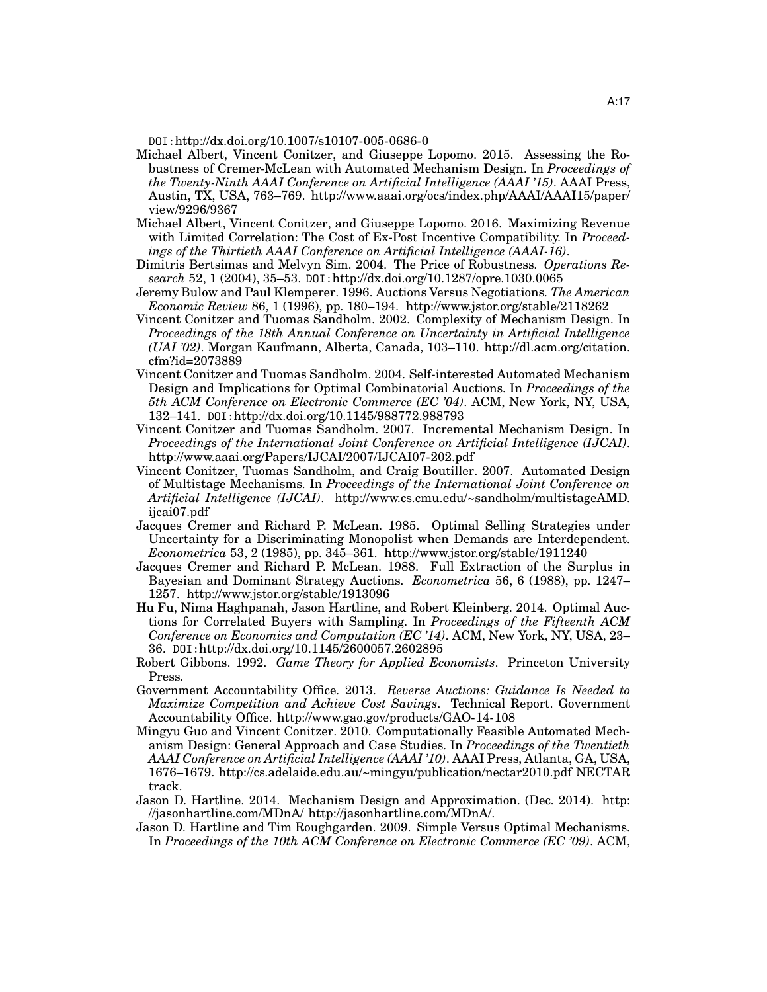DOI:http://dx.doi.org/10.1007/s10107-005-0686-0

- Michael Albert, Vincent Conitzer, and Giuseppe Lopomo. 2015. Assessing the Robustness of Cremer-McLean with Automated Mechanism Design. In *Proceedings of the Twenty-Ninth AAAI Conference on Artificial Intelligence (AAAI '15)*. AAAI Press, Austin, TX, USA, 763–769. http://www.aaai.org/ocs/index.php/AAAI/AAAI15/paper/ view/9296/9367
- Michael Albert, Vincent Conitzer, and Giuseppe Lopomo. 2016. Maximizing Revenue with Limited Correlation: The Cost of Ex-Post Incentive Compatibility. In *Proceedings of the Thirtieth AAAI Conference on Artificial Intelligence (AAAI-16)*.
- Dimitris Bertsimas and Melvyn Sim. 2004. The Price of Robustness. *Operations Research* 52, 1 (2004), 35–53. DOI:http://dx.doi.org/10.1287/opre.1030.0065
- Jeremy Bulow and Paul Klemperer. 1996. Auctions Versus Negotiations. *The American Economic Review* 86, 1 (1996), pp. 180–194. http://www.jstor.org/stable/2118262
- Vincent Conitzer and Tuomas Sandholm. 2002. Complexity of Mechanism Design. In *Proceedings of the 18th Annual Conference on Uncertainty in Artificial Intelligence (UAI '02)*. Morgan Kaufmann, Alberta, Canada, 103–110. http://dl.acm.org/citation. cfm?id=2073889
- Vincent Conitzer and Tuomas Sandholm. 2004. Self-interested Automated Mechanism Design and Implications for Optimal Combinatorial Auctions. In *Proceedings of the 5th ACM Conference on Electronic Commerce (EC '04)*. ACM, New York, NY, USA, 132–141. DOI:http://dx.doi.org/10.1145/988772.988793
- Vincent Conitzer and Tuomas Sandholm. 2007. Incremental Mechanism Design. In *Proceedings of the International Joint Conference on Artificial Intelligence (IJCAI)*. http://www.aaai.org/Papers/IJCAI/2007/IJCAI07-202.pdf
- Vincent Conitzer, Tuomas Sandholm, and Craig Boutiller. 2007. Automated Design of Multistage Mechanisms. In *Proceedings of the International Joint Conference on Artificial Intelligence (IJCAI)*. http://www.cs.cmu.edu/~sandholm/multistageAMD. ijcai07.pdf
- Jacques Cremer and Richard P. McLean. 1985. Optimal Selling Strategies under Uncertainty for a Discriminating Monopolist when Demands are Interdependent. *Econometrica* 53, 2 (1985), pp. 345–361. http://www.jstor.org/stable/1911240
- Jacques Cremer and Richard P. McLean. 1988. Full Extraction of the Surplus in Bayesian and Dominant Strategy Auctions. *Econometrica* 56, 6 (1988), pp. 1247– 1257. http://www.jstor.org/stable/1913096
- Hu Fu, Nima Haghpanah, Jason Hartline, and Robert Kleinberg. 2014. Optimal Auctions for Correlated Buyers with Sampling. In *Proceedings of the Fifteenth ACM Conference on Economics and Computation (EC '14)*. ACM, New York, NY, USA, 23– 36. DOI:http://dx.doi.org/10.1145/2600057.2602895
- Robert Gibbons. 1992. *Game Theory for Applied Economists*. Princeton University Press.
- Government Accountability Office. 2013. *Reverse Auctions: Guidance Is Needed to Maximize Competition and Achieve Cost Savings*. Technical Report. Government Accountability Office. http://www.gao.gov/products/GAO-14-108
- Mingyu Guo and Vincent Conitzer. 2010. Computationally Feasible Automated Mechanism Design: General Approach and Case Studies. In *Proceedings of the Twentieth AAAI Conference on Artificial Intelligence (AAAI '10)*. AAAI Press, Atlanta, GA, USA, 1676–1679. http://cs.adelaide.edu.au/~mingyu/publication/nectar2010.pdf NECTAR track.
- Jason D. Hartline. 2014. Mechanism Design and Approximation. (Dec. 2014). http: //jasonhartline.com/MDnA/ http://jasonhartline.com/MDnA/.
- Jason D. Hartline and Tim Roughgarden. 2009. Simple Versus Optimal Mechanisms. In *Proceedings of the 10th ACM Conference on Electronic Commerce (EC '09)*. ACM,